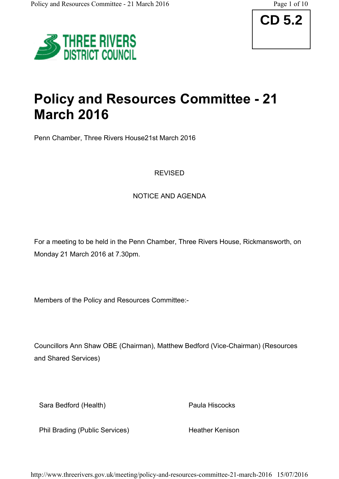



# **Policy and Resources Committee - 21 March 2016**

Penn Chamber, Three Rivers House21st March 2016

## REVISED

## NOTICE AND AGENDA

For a meeting to be held in the Penn Chamber, Three Rivers House, Rickmansworth, on Monday 21 March 2016 at 7.30pm.

Members of the Policy and Resources Committee:-

Councillors Ann Shaw OBE (Chairman), Matthew Bedford (Vice-Chairman) (Resources and Shared Services)

Sara Bedford (Health) Paula Hiscocks

Phil Brading (Public Services) Heather Kenison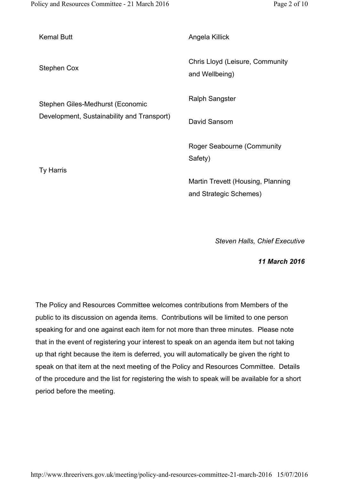| <b>Kemal Butt</b>                          | Angela Killick                                    |
|--------------------------------------------|---------------------------------------------------|
| <b>Stephen Cox</b>                         | Chris Lloyd (Leisure, Community<br>and Wellbeing) |
| Stephen Giles-Medhurst (Economic           | Ralph Sangster                                    |
| Development, Sustainability and Transport) | David Sansom                                      |
| Ty Harris                                  | <b>Roger Seabourne (Community</b><br>Safety)      |
|                                            | Martin Trevett (Housing, Planning                 |
|                                            | and Strategic Schemes)                            |

*Steven Halls, Chief Executive*

*11 March 2016*

The Policy and Resources Committee welcomes contributions from Members of the public to its discussion on agenda items. Contributions will be limited to one person speaking for and one against each item for not more than three minutes. Please note that in the event of registering your interest to speak on an agenda item but not taking up that right because the item is deferred, you will automatically be given the right to speak on that item at the next meeting of the Policy and Resources Committee. Details of the procedure and the list for registering the wish to speak will be available for a short period before the meeting.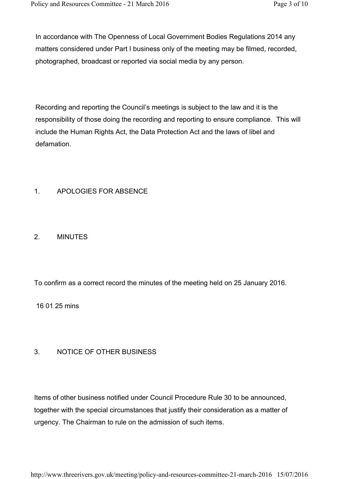In accordance with The Openness of Local Government Bodies Regulations 2014 any matters considered under Part I business only of the meeting may be filmed, recorded, photographed, broadcast or reported via social media by any person.

Recording and reporting the Council's meetings is subject to the law and it is the responsibility of those doing the recording and reporting to ensure compliance. This will include the Human Rights Act, the Data Protection Act and the laws of libel and defamation.

#### 1. APOLOGIES FOR ABSENCE

#### 2. MINUTES

To confirm as a correct record the minutes of the meeting held on 25 January 2016.

16 01 25 mins

#### 3. NOTICE OF OTHER BUSINESS

Items of other business notified under Council Procedure Rule 30 to be announced, together with the special circumstances that justify their consideration as a matter of urgency. The Chairman to rule on the admission of such items.

http://www.threerivers.gov.uk/meeting/policy-and-resources-committee-21-march-2016 15/07/2016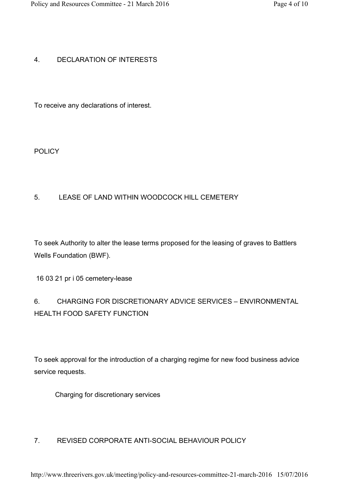#### 4. DECLARATION OF INTERESTS

To receive any declarations of interest.

**POLICY** 

## 5. LEASE OF LAND WITHIN WOODCOCK HILL CEMETERY

To seek Authority to alter the lease terms proposed for the leasing of graves to Battlers Wells Foundation (BWF).

16 03 21 pr i 05 cemetery-lease

# 6. CHARGING FOR DISCRETIONARY ADVICE SERVICES – ENVIRONMENTAL HEALTH FOOD SAFETY FUNCTION

To seek approval for the introduction of a charging regime for new food business advice service requests.

Charging for discretionary services

#### 7. REVISED CORPORATE ANTI-SOCIAL BEHAVIOUR POLICY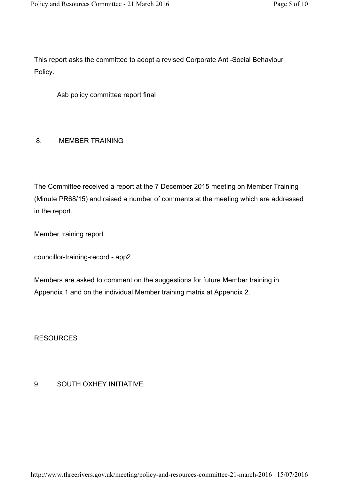This report asks the committee to adopt a revised Corporate Anti-Social Behaviour Policy.

Asb policy committee report final

## 8. MEMBER TRAINING

The Committee received a report at the 7 December 2015 meeting on Member Training (Minute PR68/15) and raised a number of comments at the meeting which are addressed in the report.

Member training report

councillor-training-record - app2

Members are asked to comment on the suggestions for future Member training in Appendix 1 and on the individual Member training matrix at Appendix 2.

RESOURCES

#### 9. SOUTH OXHEY INITIATIVE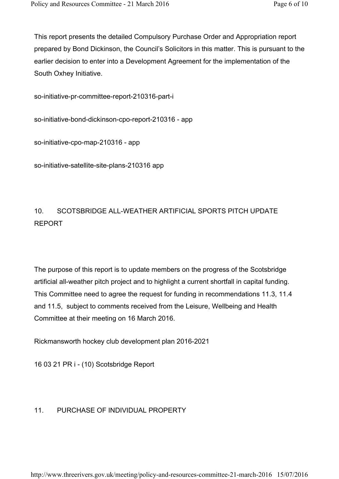This report presents the detailed Compulsory Purchase Order and Appropriation report prepared by Bond Dickinson, the Council's Solicitors in this matter. This is pursuant to the earlier decision to enter into a Development Agreement for the implementation of the South Oxhey Initiative.

so-initiative-pr-committee-report-210316-part-i

so-initiative-bond-dickinson-cpo-report-210316 - app

so-initiative-cpo-map-210316 - app

so-initiative-satellite-site-plans-210316 app

# 10. SCOTSBRIDGE ALL-WEATHER ARTIFICIAL SPORTS PITCH UPDATE REPORT

The purpose of this report is to update members on the progress of the Scotsbridge artificial all-weather pitch project and to highlight a current shortfall in capital funding. This Committee need to agree the request for funding in recommendations 11.3, 11.4 and 11.5, subject to comments received from the Leisure, Wellbeing and Health Committee at their meeting on 16 March 2016.

Rickmansworth hockey club development plan 2016-2021

16 03 21 PR i - (10) Scotsbridge Report

#### 11. PURCHASE OF INDIVIDUAL PROPERTY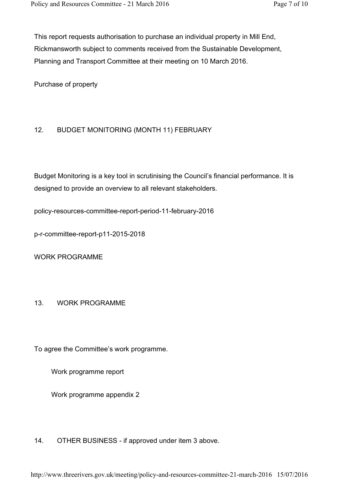This report requests authorisation to purchase an individual property in Mill End, Rickmansworth subject to comments received from the Sustainable Development, Planning and Transport Committee at their meeting on 10 March 2016.

Purchase of property

#### 12. BUDGET MONITORING (MONTH 11) FEBRUARY

Budget Monitoring is a key tool in scrutinising the Council's financial performance. It is designed to provide an overview to all relevant stakeholders.

policy-resources-committee-report-period-11-february-2016

p-r-committee-report-p11-2015-2018

WORK PROGRAMME

#### 13. WORK PROGRAMME

To agree the Committee's work programme.

Work programme report

Work programme appendix 2

14. OTHER BUSINESS - if approved under item 3 above.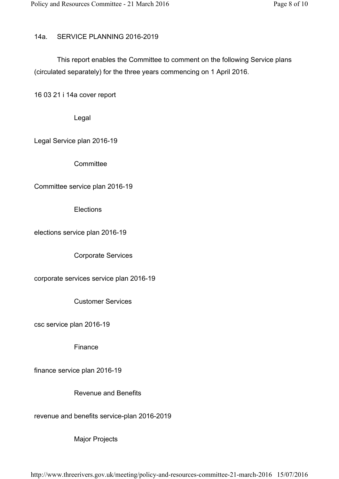# 14a. SERVICE PLANNING 2016-2019

This report enables the Committee to comment on the following Service plans (circulated separately) for the three years commencing on 1 April 2016.

16 03 21 i 14a cover report

Legal

Legal Service plan 2016-19

**Committee** 

Committee service plan 2016-19

**Elections** 

elections service plan 2016-19

Corporate Services

corporate services service plan 2016-19

Customer Services

csc service plan 2016-19

Finance

finance service plan 2016-19

Revenue and Benefits

revenue and benefits service-plan 2016-2019

Major Projects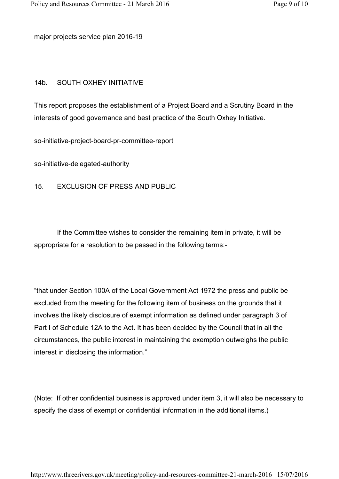major projects service plan 2016-19

#### 14b. SOUTH OXHEY INITIATIVE

This report proposes the establishment of a Project Board and a Scrutiny Board in the interests of good governance and best practice of the South Oxhey Initiative.

so-initiative-project-board-pr-committee-report

so-initiative-delegated-authority

15. EXCLUSION OF PRESS AND PUBLIC

If the Committee wishes to consider the remaining item in private, it will be appropriate for a resolution to be passed in the following terms:-

"that under Section 100A of the Local Government Act 1972 the press and public be excluded from the meeting for the following item of business on the grounds that it involves the likely disclosure of exempt information as defined under paragraph 3 of Part I of Schedule 12A to the Act. It has been decided by the Council that in all the circumstances, the public interest in maintaining the exemption outweighs the public interest in disclosing the information."

(Note: If other confidential business is approved under item 3, it will also be necessary to specify the class of exempt or confidential information in the additional items.)